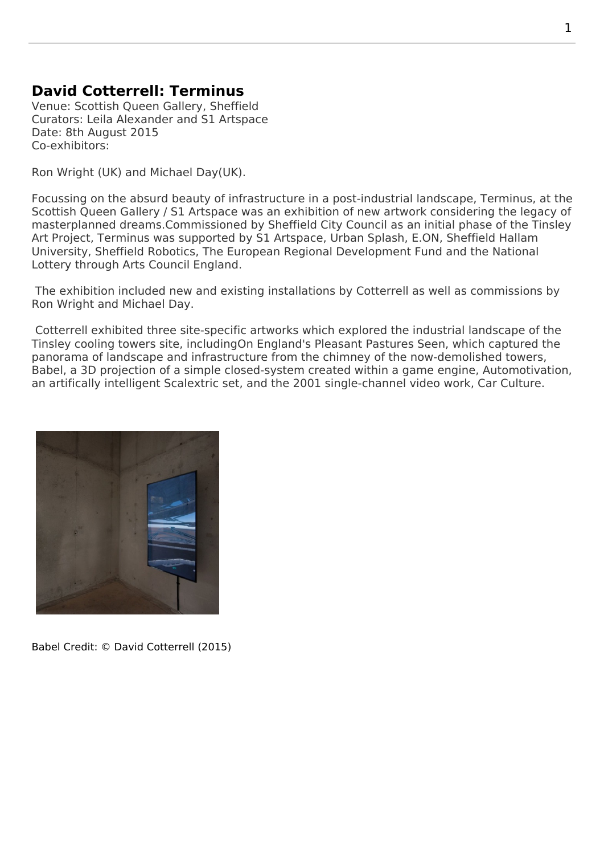## **David Cotterrell: Terminus**

Venue: Scottish Queen Gallery, Sheffield Curators: Leila Alexander and S1 Artspace Date: 8th August 2015 Co-exhibitors:

Ron Wright (UK) and Michael Day(UK).

Focussing on the absurd beauty of infrastructure in a post-industrial landscape, Terminus, at the Scottish Queen Gallery / S1 Artspace was an exhibition of new artwork considering the legacy of masterplanned drea[ms.Commissi](http://www.michaelday.org.uk/)oned by Sheffield City Council as an initial phase of the Tinsley Art Project, Terminus was supported by S1 Artspace, Urban Splash, E.ON, Sheffield Hallam University, Sheffield Robotics, The European Regional Development Fund and t[he Nationa](http://tinsley.site/projects/terminus/)l [Lottery through Arts Council England](https://www.s1artspace.org/programme/park-hill-2/).

 [The exhibition includ](http://tinsley.site/projects/terminus/)ed new and existing installations by Cotterrell as well as commissions by Ron Wright and Michael Day.

 Cotterrell exhibited three site-specific artworks which explored the industrial landscape of the Tinsley cooling towers site, includingOn England's Pleasant Pastures Seen, which captured the panorama of la[ndscape and](http://www.michaelday.org.uk/) infrastructure from the chimney of the now-demolished towers, Babel, a 3D projection of a simple closed-system created within a game engine, Automotivation, an artifically intelligent Scalextric set, and the 2001 single-channel video work, Car Culture.



Babel Credit: © David Cotterrell (2015)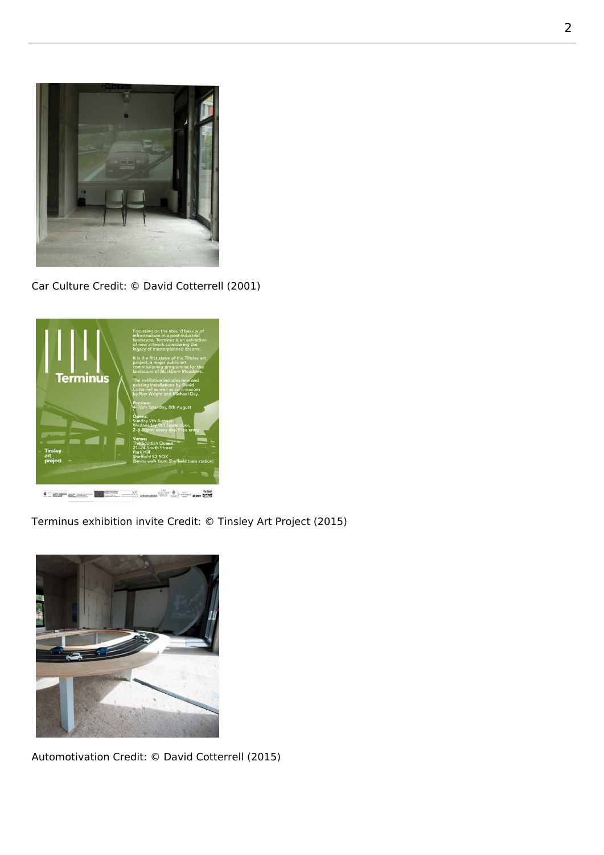

Car Culture Credit: © David Cotterrell (2001)



Terminus exhibition invite Credit: © Tinsley Art Project (2015)



Automotivation Credit: © David Cotterrell (2015)